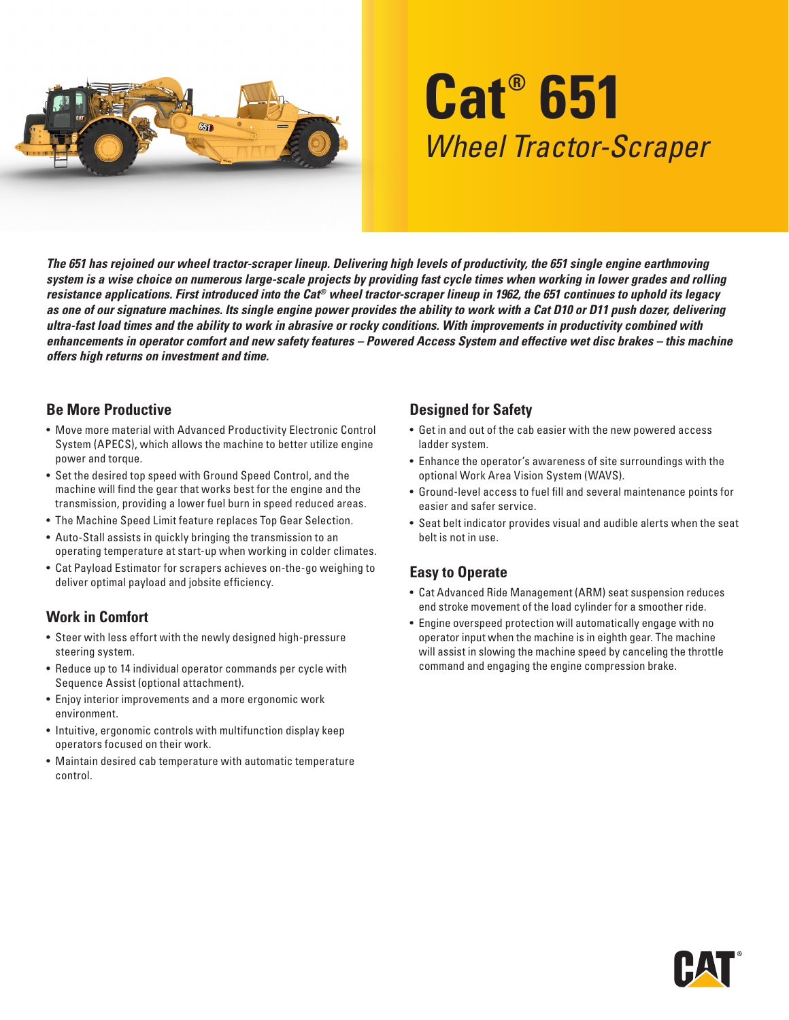

# **Cat® 651** *Wheel Tractor-Scraper*

*The 651 has rejoined our wheel tractor-scraper lineup. Delivering high levels of productivity, the 651 single engine earthmoving system is a wise choice on numerous large-scale projects by providing fast cycle times when working in lower grades and rolling resistance applications. First introduced into the Cat® wheel tractor-scraper lineup in 1962, the 651 continues to uphold its legacy as one of our signature machines. Its single engine power provides the ability to work with a Cat D10 or D11 push dozer, delivering ultra-fast load times and the ability to work in abrasive or rocky conditions. With improvements in productivity combined with enhancements in operator comfort and new safety features – Powered Access System and effective wet disc brakes – this machine offers high returns on investment and time.*

### **Be More Productive**

- Move more material with Advanced Productivity Electronic Control System (APECS), which allows the machine to better utilize engine power and torque.
- Set the desired top speed with Ground Speed Control, and the machine will find the gear that works best for the engine and the transmission, providing a lower fuel burn in speed reduced areas.
- The Machine Speed Limit feature replaces Top Gear Selection.
- Auto-Stall assists in quickly bringing the transmission to an operating temperature at start-up when working in colder climates.
- Cat Payload Estimator for scrapers achieves on-the-go weighing to deliver optimal payload and jobsite efficiency.

# **Work in Comfort**

- Steer with less effort with the newly designed high-pressure steering system.
- Reduce up to 14 individual operator commands per cycle with Sequence Assist (optional attachment).
- Enjoy interior improvements and a more ergonomic work environment.
- Intuitive, ergonomic controls with multifunction display keep operators focused on their work.
- Maintain desired cab temperature with automatic temperature control.

# **Designed for Safety**

- Get in and out of the cab easier with the new powered access ladder system.
- Enhance the operator's awareness of site surroundings with the optional Work Area Vision System (WAVS).
- Ground-level access to fuel fill and several maintenance points for easier and safer service.
- Seat belt indicator provides visual and audible alerts when the seat belt is not in use.

# **Easy to Operate**

- Cat Advanced Ride Management (ARM) seat suspension reduces end stroke movement of the load cylinder for a smoother ride.
- Engine overspeed protection will automatically engage with no operator input when the machine is in eighth gear. The machine will assist in slowing the machine speed by canceling the throttle command and engaging the engine compression brake.

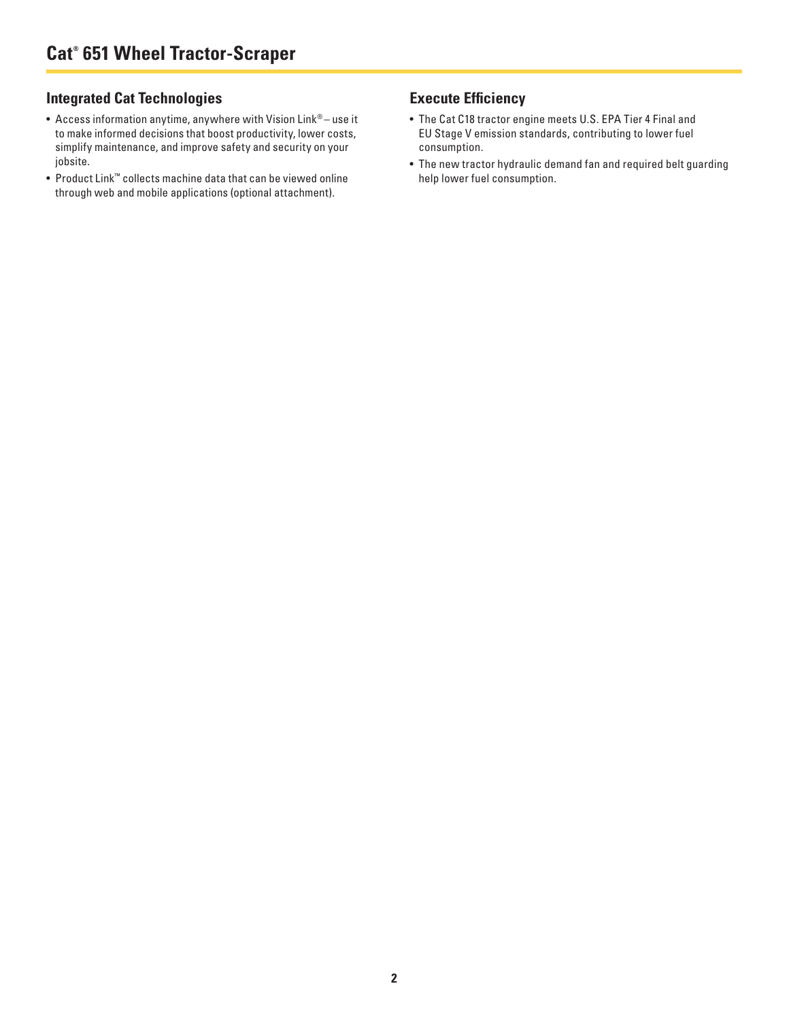# **Integrated Cat Technologies**

- Access information anytime, anywhere with Vision Link® use it to make informed decisions that boost productivity, lower costs, simplify maintenance, and improve safety and security on your jobsite.
- Product Link™ collects machine data that can be viewed online through web and mobile applications (optional attachment).

#### **Execute Efficiency**

- The Cat C18 tractor engine meets U.S. EPA Tier 4 Final and EU Stage V emission standards, contributing to lower fuel consumption.
- The new tractor hydraulic demand fan and required belt guarding help lower fuel consumption.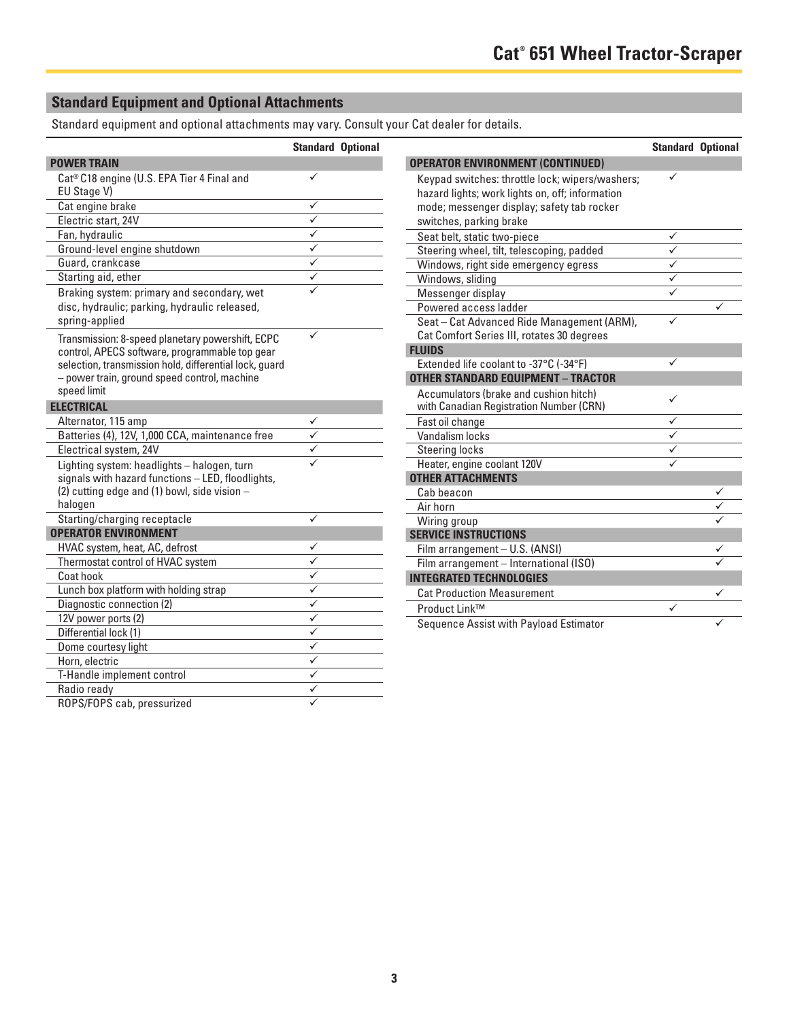# **Standard Equipment and Optional Attachments**

Standard equipment and optional attachments may vary. Consult your Cat dealer for details.

|                                                                                                                                                                                                                             | <b>Standard Optional</b> |  |
|-----------------------------------------------------------------------------------------------------------------------------------------------------------------------------------------------------------------------------|--------------------------|--|
| <b>POWER TRAIN</b>                                                                                                                                                                                                          |                          |  |
| Cat <sup>®</sup> C18 engine (U.S. EPA Tier 4 Final and<br>EU Stage V)                                                                                                                                                       | ✓                        |  |
| Cat engine brake                                                                                                                                                                                                            | ✓                        |  |
| Electric start, 24V                                                                                                                                                                                                         | ✓                        |  |
| Fan, hydraulic                                                                                                                                                                                                              |                          |  |
| Ground-level engine shutdown                                                                                                                                                                                                |                          |  |
| Guard, crankcase                                                                                                                                                                                                            | ✓                        |  |
| Starting aid, ether                                                                                                                                                                                                         | ✓                        |  |
| Braking system: primary and secondary, wet<br>disc, hydraulic; parking, hydraulic released,<br>spring-applied                                                                                                               |                          |  |
| Transmission: 8-speed planetary powershift, ECPC<br>control, APECS software, programmable top gear<br>selection, transmission hold, differential lock, guard<br>- power train, ground speed control, machine<br>speed limit |                          |  |
| <b>ELECTRICAL</b>                                                                                                                                                                                                           |                          |  |
| Alternator, 115 amp                                                                                                                                                                                                         |                          |  |
| Batteries (4), 12V, 1,000 CCA, maintenance free                                                                                                                                                                             |                          |  |
| Electrical system, 24V                                                                                                                                                                                                      |                          |  |
| Lighting system: headlights - halogen, turn<br>signals with hazard functions - LED, floodlights,<br>(2) cutting edge and (1) bowl, side vision -<br>halogen                                                                 |                          |  |
| Starting/charging receptacle                                                                                                                                                                                                |                          |  |
| <b>OPERATOR ENVIRONMENT</b>                                                                                                                                                                                                 |                          |  |
| HVAC system, heat, AC, defrost                                                                                                                                                                                              |                          |  |
| Thermostat control of HVAC system                                                                                                                                                                                           |                          |  |
| Coat hook                                                                                                                                                                                                                   | ✓                        |  |
| Lunch box platform with holding strap                                                                                                                                                                                       | ✓                        |  |
| Diagnostic connection (2)                                                                                                                                                                                                   | ✓                        |  |
| 12V power ports (2)                                                                                                                                                                                                         | $\checkmark$             |  |
| Differential lock (1)                                                                                                                                                                                                       | ✓                        |  |
| Dome courtesy light                                                                                                                                                                                                         | ✓                        |  |
| Horn, electric                                                                                                                                                                                                              | $\checkmark$             |  |
| T-Handle implement control                                                                                                                                                                                                  | $\checkmark$             |  |
| Radio ready                                                                                                                                                                                                                 | ✓                        |  |
| ROPS/FOPS cab, pressurized                                                                                                                                                                                                  |                          |  |

|                                                 | <b>Standard Optional</b> |   |
|-------------------------------------------------|--------------------------|---|
| <b>OPERATOR ENVIRONMENT (CONTINUED)</b>         |                          |   |
| Keypad switches: throttle lock; wipers/washers; |                          |   |
| hazard lights; work lights on, off; information |                          |   |
| mode; messenger display; safety tab rocker      |                          |   |
| switches, parking brake                         |                          |   |
| Seat belt, static two-piece                     | ✓                        |   |
| Steering wheel, tilt, telescoping, padded       | $\checkmark$             |   |
| Windows, right side emergency egress            |                          |   |
| Windows, sliding                                |                          |   |
| Messenger display                               |                          |   |
| Powered access ladder                           |                          | ✓ |
| Seat - Cat Advanced Ride Management (ARM),      |                          |   |
| Cat Comfort Series III, rotates 30 degrees      |                          |   |
| <b>FLUIDS</b>                                   |                          |   |
| Extended life coolant to -37°C (-34°F)          | ✓                        |   |
| <b>OTHER STANDARD EQUIPMENT - TRACTOR</b>       |                          |   |
| Accumulators (brake and cushion hitch)          | ✓                        |   |
| with Canadian Registration Number (CRN)         |                          |   |
| Fast oil change                                 | ✓                        |   |
| Vandalism locks                                 |                          |   |
| <b>Steering locks</b>                           |                          |   |
| Heater, engine coolant 120V                     |                          |   |
| <b>OTHER ATTACHMENTS</b>                        |                          |   |
| Cab beacon                                      |                          |   |
| Air horn                                        |                          |   |
| Wiring group                                    |                          |   |
| <b>SERVICE INSTRUCTIONS</b>                     |                          |   |
| Film arrangement - U.S. (ANSI)                  |                          |   |
| Film arrangement - International (ISO)          |                          |   |
| <b>INTEGRATED TECHNOLOGIES</b>                  |                          |   |
| <b>Cat Production Measurement</b>               |                          |   |
| Product Link™                                   |                          |   |
| Sequence Assist with Payload Estimator          |                          |   |